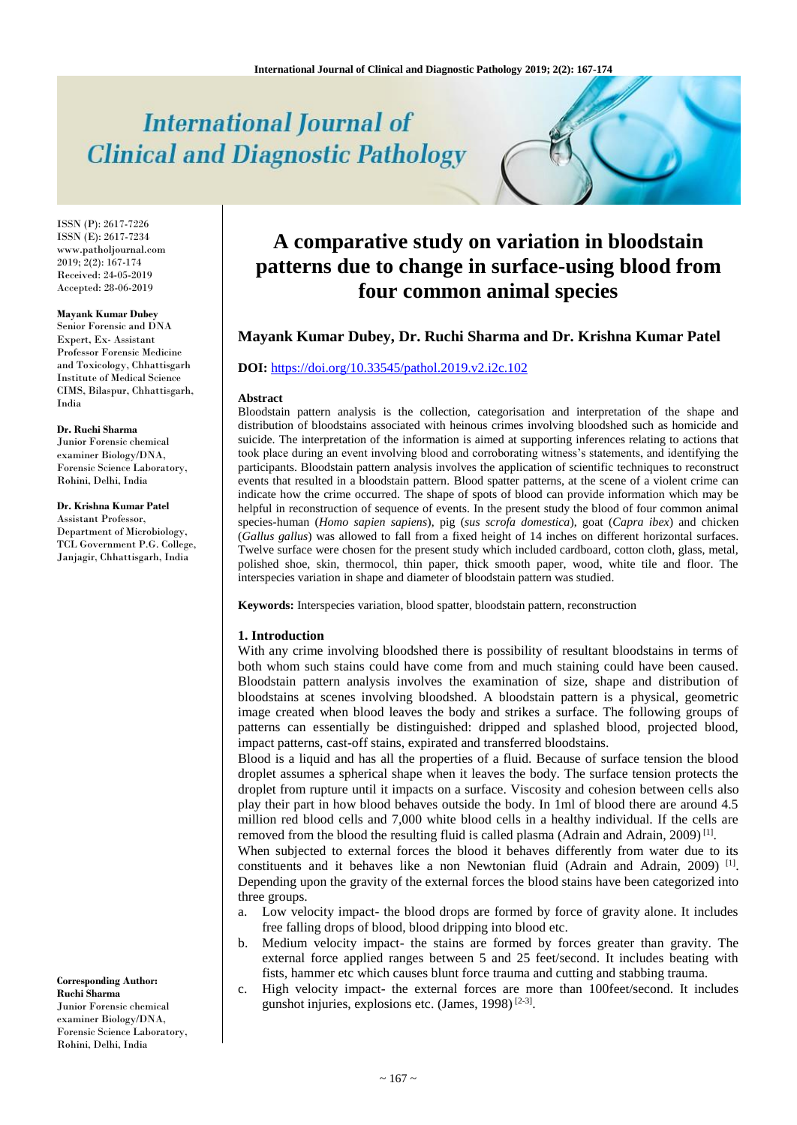# **International Journal of Clinical and Diagnostic Pathology**

ISSN (P): 2617-7226 ISSN (E): 2617-7234 www.patholjournal.com 2019; 2(2): 167-174 Received: 24-05-2019 Accepted: 28-06-2019

#### **Mayank Kumar Dubey**

Senior Forensic and DNA Expert, Ex- Assistant Professor Forensic Medicine and Toxicology, Chhattisgarh Institute of Medical Science CIMS, Bilaspur, Chhattisgarh, India

#### **Dr. Ruchi Sharma**

Junior Forensic chemical examiner Biology/DNA, Forensic Science Laboratory, Rohini, Delhi, India

#### **Dr. Krishna Kumar Patel**

Assistant Professor, Department of Microbiology, TCL Government P.G. College, Janjagir, Chhattisgarh, India

#### **Corresponding Author: Ruchi Sharma**

Junior Forensic chemical examiner Biology/DNA, Forensic Science Laboratory, Rohini, Delhi, India

# **A comparative study on variation in bloodstain patterns due to change in surface-using blood from four common animal species**

## **Mayank Kumar Dubey, Dr. Ruchi Sharma and Dr. Krishna Kumar Patel**

#### **DOI:** <https://doi.org/10.33545/pathol.2019.v2.i2c.102>

#### **Abstract**

Bloodstain pattern analysis is the collection, categorisation and interpretation of the shape and distribution of bloodstains associated with heinous crimes involving bloodshed such as homicide and suicide. The interpretation of the information is aimed at supporting inferences relating to actions that took place during an event involving blood and corroborating witness's statements, and identifying the participants. Bloodstain pattern analysis involves the application of scientific techniques to reconstruct events that resulted in a bloodstain pattern. Blood spatter patterns, at the scene of a violent crime can indicate how the crime occurred. The shape of spots of blood can provide information which may be helpful in reconstruction of sequence of events. In the present study the blood of four common animal species-human (*Homo sapien sapiens*), pig (*sus scrofa domestica*), goat (*Capra ibex*) and chicken (*Gallus gallus*) was allowed to fall from a fixed height of 14 inches on different horizontal surfaces. Twelve surface were chosen for the present study which included cardboard, cotton cloth, glass, metal, polished shoe, skin, thermocol, thin paper, thick smooth paper, wood, white tile and floor. The interspecies variation in shape and diameter of bloodstain pattern was studied.

**Keywords:** Interspecies variation, blood spatter, bloodstain pattern, reconstruction

#### **1. Introduction**

With any crime involving bloodshed there is possibility of resultant bloodstains in terms of both whom such stains could have come from and much staining could have been caused. Bloodstain pattern analysis involves the examination of size, shape and distribution of bloodstains at scenes involving bloodshed. A bloodstain pattern is a physical, geometric image created when blood leaves the body and strikes a surface. The following groups of patterns can essentially be distinguished: dripped and splashed blood, projected blood, impact patterns, cast-off stains, expirated and transferred bloodstains.

Blood is a liquid and has all the properties of a fluid. Because of surface tension the blood droplet assumes a spherical shape when it leaves the body. The surface tension protects the droplet from rupture until it impacts on a surface. Viscosity and cohesion between cells also play their part in how blood behaves outside the body. In 1ml of blood there are around 4.5 million red blood cells and 7,000 white blood cells in a healthy individual. If the cells are removed from the blood the resulting fluid is called plasma (Adrain and Adrain, 2009)<sup>[1]</sup>.

When subjected to external forces the blood it behaves differently from water due to its constituents and it behaves like a non Newtonian fluid (Adrain and Adrain, 2009)<sup>[1]</sup>. Depending upon the gravity of the external forces the blood stains have been categorized into three groups.

- a. Low velocity impact- the blood drops are formed by force of gravity alone. It includes free falling drops of blood, blood dripping into blood etc.
- b. Medium velocity impact- the stains are formed by forces greater than gravity. The external force applied ranges between 5 and 25 feet/second. It includes beating with fists, hammer etc which causes blunt force trauma and cutting and stabbing trauma.
- c. High velocity impact- the external forces are more than 100feet/second. It includes gunshot injuries, explosions etc. (James, 1998)<sup>[2-3]</sup>.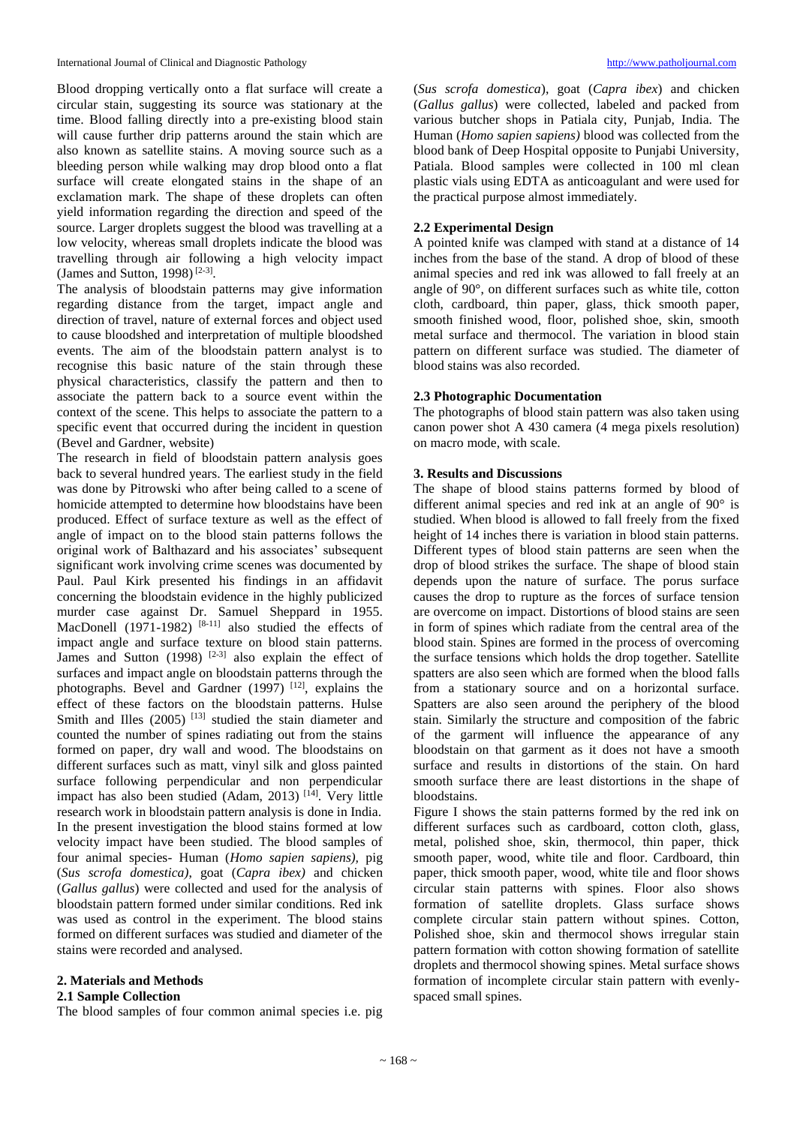Blood dropping vertically onto a flat surface will create a circular stain, suggesting its source was stationary at the time. Blood falling directly into a pre-existing blood stain will cause further drip patterns around the stain which are also known as satellite stains. A moving source such as a bleeding person while walking may drop blood onto a flat surface will create elongated stains in the shape of an exclamation mark. The shape of these droplets can often yield information regarding the direction and speed of the source. Larger droplets suggest the blood was travelling at a low velocity, whereas small droplets indicate the blood was travelling through air following a high velocity impact (James and Sutton, 1998)<sup>[2-3]</sup>.

The analysis of bloodstain patterns may give information regarding distance from the target, impact angle and direction of travel, nature of external forces and object used to cause bloodshed and interpretation of multiple bloodshed events. The aim of the bloodstain pattern analyst is to recognise this basic nature of the stain through these physical characteristics, classify the pattern and then to associate the pattern back to a source event within the context of the scene. This helps to associate the pattern to a specific event that occurred during the incident in question (Bevel and Gardner, website)

The research in field of bloodstain pattern analysis goes back to several hundred years. The earliest study in the field was done by Pitrowski who after being called to a scene of homicide attempted to determine how bloodstains have been produced. Effect of surface texture as well as the effect of angle of impact on to the blood stain patterns follows the original work of Balthazard and his associates' subsequent significant work involving crime scenes was documented by Paul. Paul Kirk presented his findings in an affidavit concerning the bloodstain evidence in the highly publicized murder case against Dr. Samuel Sheppard in 1955. MacDonell (1971-1982)  $[8-11]$  also studied the effects of impact angle and surface texture on blood stain patterns. James and Sutton  $(1998)$  <sup>[2-3]</sup> also explain the effect of surfaces and impact angle on bloodstain patterns through the photographs. Bevel and Gardner (1997) [12], explains the effect of these factors on the bloodstain patterns. Hulse Smith and Illes  $(2005)$ <sup>[13]</sup> studied the stain diameter and counted the number of spines radiating out from the stains formed on paper, dry wall and wood. The bloodstains on different surfaces such as matt, vinyl silk and gloss painted surface following perpendicular and non perpendicular impact has also been studied (Adam, 2013)  $[14]$ . Very little research work in bloodstain pattern analysis is done in India. In the present investigation the blood stains formed at low velocity impact have been studied. The blood samples of four animal species- Human (*Homo sapien sapiens),* pig (*Sus scrofa domestica)*, goat (*Capra ibex)* and chicken (*Gallus gallus*) were collected and used for the analysis of bloodstain pattern formed under similar conditions. Red ink was used as control in the experiment. The blood stains formed on different surfaces was studied and diameter of the stains were recorded and analysed.

#### **2. Materials and Methods**

#### **2.1 Sample Collection**

The blood samples of four common animal species i.e. pig

(*Sus scrofa domestica*), goat (*Capra ibex*) and chicken (*Gallus gallus*) were collected, labeled and packed from various butcher shops in Patiala city, Punjab, India. The Human (*Homo sapien sapiens)* blood was collected from the blood bank of Deep Hospital opposite to Punjabi University, Patiala. Blood samples were collected in 100 ml clean plastic vials using EDTA as anticoagulant and were used for the practical purpose almost immediately.

#### **2.2 Experimental Design**

A pointed knife was clamped with stand at a distance of 14 inches from the base of the stand. A drop of blood of these animal species and red ink was allowed to fall freely at an angle of 90°, on different surfaces such as white tile, cotton cloth, cardboard, thin paper, glass, thick smooth paper, smooth finished wood, floor, polished shoe, skin, smooth metal surface and thermocol. The variation in blood stain pattern on different surface was studied. The diameter of blood stains was also recorded.

#### **2.3 Photographic Documentation**

The photographs of blood stain pattern was also taken using canon power shot A 430 camera (4 mega pixels resolution) on macro mode, with scale.

#### **3. Results and Discussions**

The shape of blood stains patterns formed by blood of different animal species and red ink at an angle of 90° is studied. When blood is allowed to fall freely from the fixed height of 14 inches there is variation in blood stain patterns. Different types of blood stain patterns are seen when the drop of blood strikes the surface. The shape of blood stain depends upon the nature of surface. The porus surface causes the drop to rupture as the forces of surface tension are overcome on impact. Distortions of blood stains are seen in form of spines which radiate from the central area of the blood stain. Spines are formed in the process of overcoming the surface tensions which holds the drop together. Satellite spatters are also seen which are formed when the blood falls from a stationary source and on a horizontal surface. Spatters are also seen around the periphery of the blood stain. Similarly the structure and composition of the fabric of the garment will influence the appearance of any bloodstain on that garment as it does not have a smooth surface and results in distortions of the stain. On hard smooth surface there are least distortions in the shape of bloodstains.

Figure I shows the stain patterns formed by the red ink on different surfaces such as cardboard, cotton cloth, glass, metal, polished shoe, skin, thermocol, thin paper, thick smooth paper, wood, white tile and floor. Cardboard, thin paper, thick smooth paper, wood, white tile and floor shows circular stain patterns with spines. Floor also shows formation of satellite droplets. Glass surface shows complete circular stain pattern without spines. Cotton, Polished shoe, skin and thermocol shows irregular stain pattern formation with cotton showing formation of satellite droplets and thermocol showing spines. Metal surface shows formation of incomplete circular stain pattern with evenlyspaced small spines.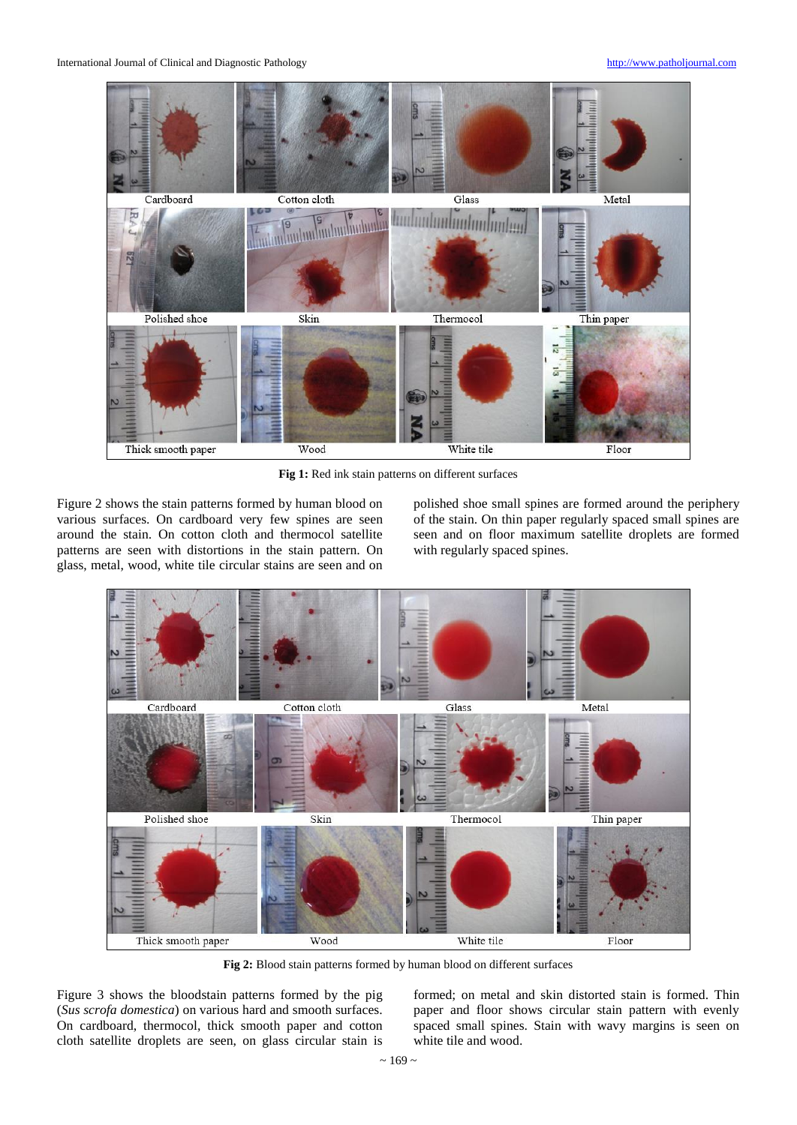

Fig 1: Red ink stain patterns on different surfaces

Figure 2 shows the stain patterns formed by human blood on various surfaces. On cardboard very few spines are seen around the stain. On cotton cloth and thermocol satellite patterns are seen with distortions in the stain pattern. On glass, metal, wood, white tile circular stains are seen and on

polished shoe small spines are formed around the periphery of the stain. On thin paper regularly spaced small spines are seen and on floor maximum satellite droplets are formed with regularly spaced spines.



**Fig 2:** Blood stain patterns formed by human blood on different surfaces

Figure 3 shows the bloodstain patterns formed by the pig (*Sus scrofa domestica*) on various hard and smooth surfaces. On cardboard, thermocol, thick smooth paper and cotton cloth satellite droplets are seen, on glass circular stain is

formed; on metal and skin distorted stain is formed. Thin paper and floor shows circular stain pattern with evenly spaced small spines. Stain with wavy margins is seen on white tile and wood.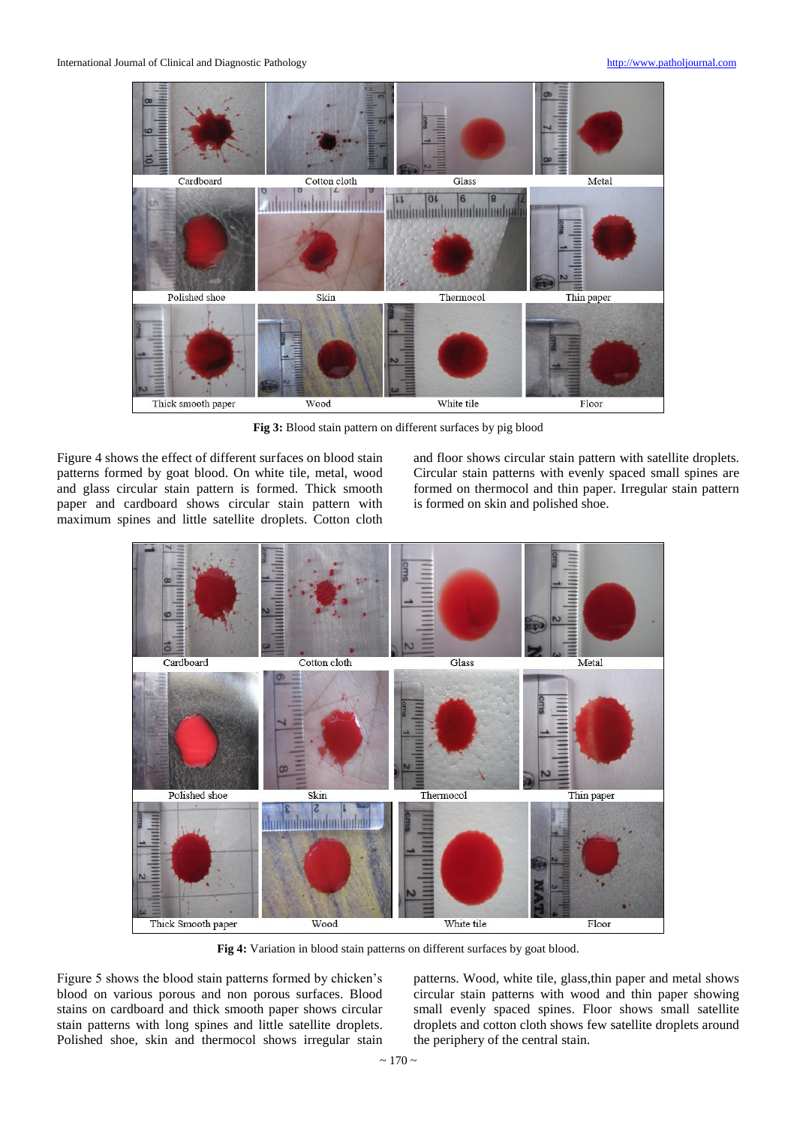

**Fig 3:** Blood stain pattern on different surfaces by pig blood

Figure 4 shows the effect of different surfaces on blood stain patterns formed by goat blood. On white tile, metal, wood and glass circular stain pattern is formed. Thick smooth paper and cardboard shows circular stain pattern with maximum spines and little satellite droplets. Cotton cloth

and floor shows circular stain pattern with satellite droplets. Circular stain patterns with evenly spaced small spines are formed on thermocol and thin paper. Irregular stain pattern is formed on skin and polished shoe.



**Fig 4:** Variation in blood stain patterns on different surfaces by goat blood.

Figure 5 shows the blood stain patterns formed by chicken's blood on various porous and non porous surfaces. Blood stains on cardboard and thick smooth paper shows circular stain patterns with long spines and little satellite droplets. Polished shoe, skin and thermocol shows irregular stain

patterns. Wood, white tile, glass,thin paper and metal shows circular stain patterns with wood and thin paper showing small evenly spaced spines. Floor shows small satellite droplets and cotton cloth shows few satellite droplets around the periphery of the central stain.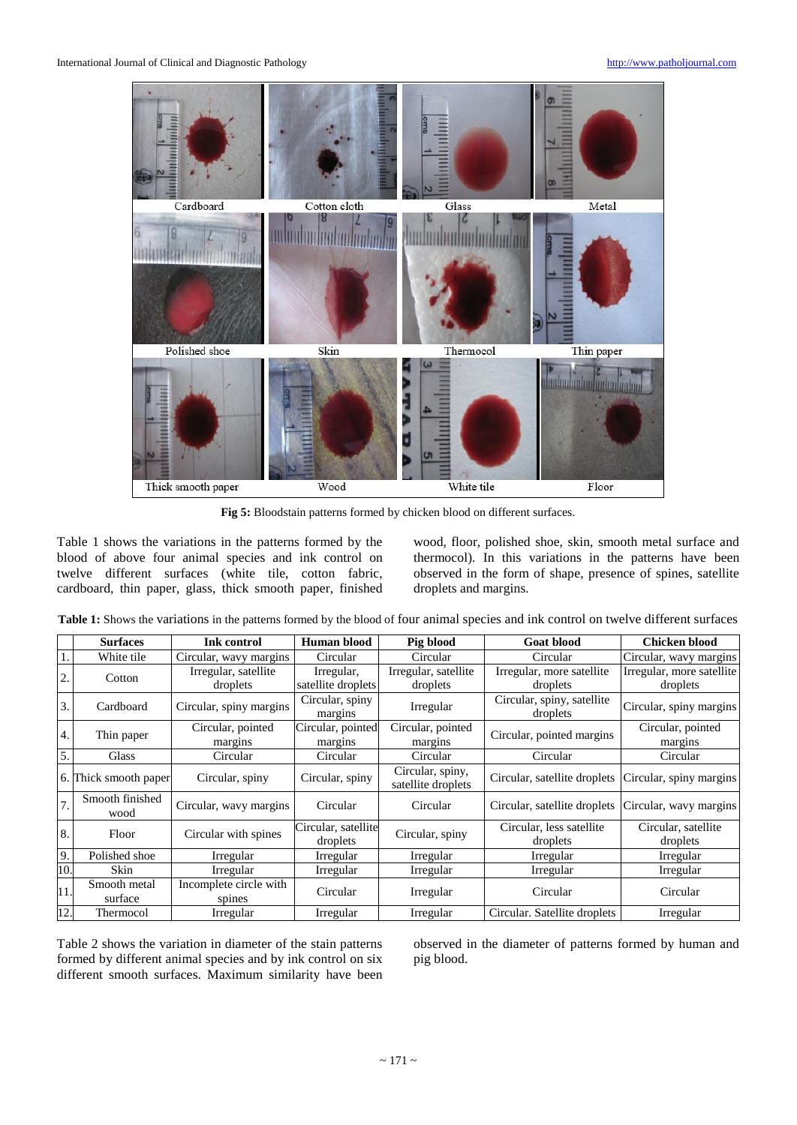

**Fig 5:** Bloodstain patterns formed by chicken blood on different surfaces.

Table 1 shows the variations in the patterns formed by the blood of above four animal species and ink control on twelve different surfaces (white tile, cotton fabric, cardboard, thin paper, glass, thick smooth paper, finished wood, floor, polished shoe, skin, smooth metal surface and thermocol). In this variations in the patterns have been observed in the form of shape, presence of spines, satellite droplets and margins.

**Table 1:** Shows the variations in the patterns formed by the blood of four animal species and ink control on twelve different surfaces

|     | <b>Surfaces</b>         | Ink control                      | Human blood                      | Pig blood                              | <b>Goat blood</b>                      | <b>Chicken blood</b>                  |  |
|-----|-------------------------|----------------------------------|----------------------------------|----------------------------------------|----------------------------------------|---------------------------------------|--|
|     | White tile              | Circular, wavy margins           | Circular                         | Circular                               | Circular                               | Circular, wavy margins                |  |
| 2.  | Cotton                  | Irregular, satellite<br>droplets | Irregular,<br>satellite droplets | Irregular, satellite<br>droplets       | Irregular, more satellite<br>droplets  | Irregular, more satellite<br>droplets |  |
| 3.  | Cardboard               | Circular, spiny margins          | Circular, spiny<br>margins       | Irregular                              | Circular, spiny, satellite<br>droplets | Circular, spiny margins               |  |
| 4.  | Thin paper              | Circular, pointed<br>margins     | Circular, pointed<br>margins     | Circular, pointed<br>margins           | Circular, pointed margins              | Circular, pointed<br>margins          |  |
| 5.  | Glass                   | Circular                         | Circular                         | Circular                               | Circular                               | Circular                              |  |
|     | 6. Thick smooth paper   | Circular, spiny                  | Circular, spiny                  | Circular, spiny,<br>satellite droplets | Circular, satellite droplets           | Circular, spiny margins               |  |
| 7.  | Smooth finished<br>wood | Circular, wavy margins           | Circular                         | Circular                               | Circular, satellite droplets           | Circular, wavy margins                |  |
| 8.  | Floor                   | Circular with spines             | Circular, satellite<br>droplets  | Circular, spiny                        | Circular, less satellite<br>droplets   | Circular, satellite<br>droplets       |  |
| 9.  | Polished shoe           | Irregular                        | Irregular                        | Irregular                              | Irregular                              | Irregular                             |  |
| 10. | Skin                    | Irregular                        | Irregular                        | Irregular                              | Irregular                              | Irregular                             |  |
| 11. | Smooth metal<br>surface | Incomplete circle with<br>spines | Circular                         | Irregular                              | Circular                               | Circular                              |  |
| 12. | Thermocol               | Irregular                        | Irregular                        | Irregular                              | Circular. Satellite droplets           | Irregular                             |  |

Table 2 shows the variation in diameter of the stain patterns formed by different animal species and by ink control on six different smooth surfaces. Maximum similarity have been

observed in the diameter of patterns formed by human and pig blood.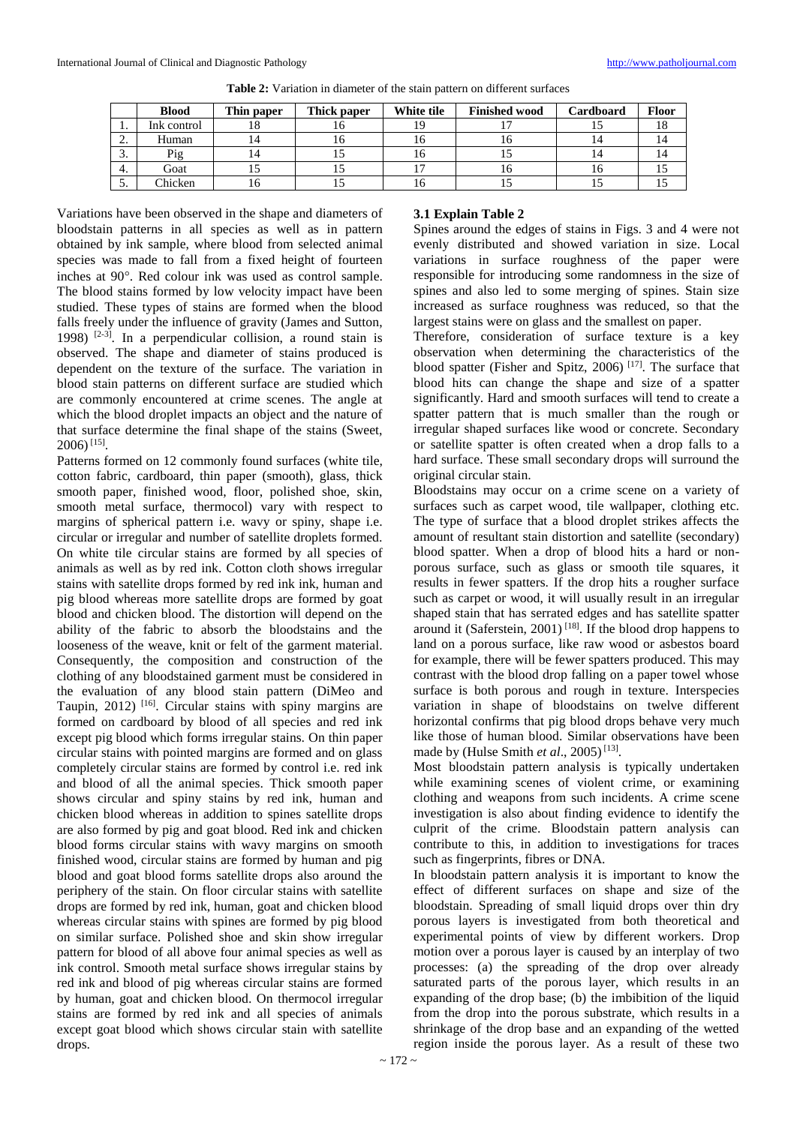|               | <b>Blood</b> | Thin paper | Thick paper | White tile | <b>Finished wood</b> | Cardboard | <b>Floor</b> |
|---------------|--------------|------------|-------------|------------|----------------------|-----------|--------------|
| . .           | Ink control  | ιο         | 1 O         | 19         |                      |           | 10.          |
| ⌒<br><u>.</u> | Human        |            | 10          | 16         | 1 O                  |           | 14           |
| $\sim$<br>J.  | Pig          |            |             | 16         |                      |           |              |
| 4.            | Goat         |            |             |            | 10                   |           |              |
| -<br>J.       | Chicken      | 0          |             | 16         |                      |           |              |

**Table 2:** Variation in diameter of the stain pattern on different surfaces

Variations have been observed in the shape and diameters of bloodstain patterns in all species as well as in pattern obtained by ink sample, where blood from selected animal species was made to fall from a fixed height of fourteen inches at 90°. Red colour ink was used as control sample. The blood stains formed by low velocity impact have been studied. These types of stains are formed when the blood falls freely under the influence of gravity (James and Sutton, 1998)  $[2-3]$ . In a perpendicular collision, a round stain is observed. The shape and diameter of stains produced is dependent on the texture of the surface. The variation in blood stain patterns on different surface are studied which are commonly encountered at crime scenes. The angle at which the blood droplet impacts an object and the nature of that surface determine the final shape of the stains (Sweet, 2006) [15] .

Patterns formed on 12 commonly found surfaces (white tile, cotton fabric, cardboard, thin paper (smooth), glass, thick smooth paper, finished wood, floor, polished shoe, skin, smooth metal surface, thermocol) vary with respect to margins of spherical pattern i.e. wavy or spiny, shape i.e. circular or irregular and number of satellite droplets formed. On white tile circular stains are formed by all species of animals as well as by red ink. Cotton cloth shows irregular stains with satellite drops formed by red ink ink, human and pig blood whereas more satellite drops are formed by goat blood and chicken blood. The distortion will depend on the ability of the fabric to absorb the bloodstains and the looseness of the weave, knit or felt of the garment material. Consequently, the composition and construction of the clothing of any bloodstained garment must be considered in the evaluation of any blood stain pattern (DiMeo and Taupin, 2012)<sup>[16]</sup>. Circular stains with spiny margins are formed on cardboard by blood of all species and red ink except pig blood which forms irregular stains. On thin paper circular stains with pointed margins are formed and on glass completely circular stains are formed by control i.e. red ink and blood of all the animal species. Thick smooth paper shows circular and spiny stains by red ink, human and chicken blood whereas in addition to spines satellite drops are also formed by pig and goat blood. Red ink and chicken blood forms circular stains with wavy margins on smooth finished wood, circular stains are formed by human and pig blood and goat blood forms satellite drops also around the periphery of the stain. On floor circular stains with satellite drops are formed by red ink, human, goat and chicken blood whereas circular stains with spines are formed by pig blood on similar surface. Polished shoe and skin show irregular pattern for blood of all above four animal species as well as ink control. Smooth metal surface shows irregular stains by red ink and blood of pig whereas circular stains are formed by human, goat and chicken blood. On thermocol irregular stains are formed by red ink and all species of animals except goat blood which shows circular stain with satellite drops.

#### **3.1 Explain Table 2**

Spines around the edges of stains in Figs. 3 and 4 were not evenly distributed and showed variation in size. Local variations in surface roughness of the paper were responsible for introducing some randomness in the size of spines and also led to some merging of spines. Stain size increased as surface roughness was reduced, so that the largest stains were on glass and the smallest on paper.

Therefore, consideration of surface texture is a key observation when determining the characteristics of the blood spatter (Fisher and Spitz, 2006)<sup>[17]</sup>. The surface that blood hits can change the shape and size of a spatter significantly. Hard and smooth surfaces will tend to create a spatter pattern that is much smaller than the rough or irregular shaped surfaces like wood or concrete. Secondary or satellite spatter is often created when a drop falls to a hard surface. These small secondary drops will surround the original circular stain.

Bloodstains may occur on a crime scene on a variety of surfaces such as carpet wood, tile wallpaper, clothing etc. The type of surface that a blood droplet strikes affects the amount of resultant stain distortion and satellite (secondary) blood spatter. When a drop of blood hits a hard or nonporous surface, such as glass or smooth tile squares, it results in fewer spatters. If the drop hits a rougher surface such as carpet or wood, it will usually result in an irregular shaped stain that has serrated edges and has satellite spatter around it (Saferstein, 2001)<sup>[18]</sup>. If the blood drop happens to land on a porous surface, like raw wood or asbestos board for example, there will be fewer spatters produced. This may contrast with the blood drop falling on a paper towel whose surface is both porous and rough in texture. Interspecies variation in shape of bloodstains on twelve different horizontal confirms that pig blood drops behave very much like those of human blood. Similar observations have been made by (Hulse Smith *et al.*, 2005)<sup>[13]</sup>.

Most bloodstain pattern analysis is typically undertaken while examining scenes of violent crime, or examining clothing and weapons from such incidents. A crime scene investigation is also about finding evidence to identify the culprit of the crime. Bloodstain pattern analysis can contribute to this, in addition to investigations for traces such as fingerprints, fibres or DNA.

In bloodstain pattern analysis it is important to know the effect of different surfaces on shape and size of the bloodstain. Spreading of small liquid drops over thin dry porous layers is investigated from both theoretical and experimental points of view by different workers. Drop motion over a porous layer is caused by an interplay of two processes: (a) the spreading of the drop over already saturated parts of the porous layer, which results in an expanding of the drop base; (b) the imbibition of the liquid from the drop into the porous substrate, which results in a shrinkage of the drop base and an expanding of the wetted region inside the porous layer. As a result of these two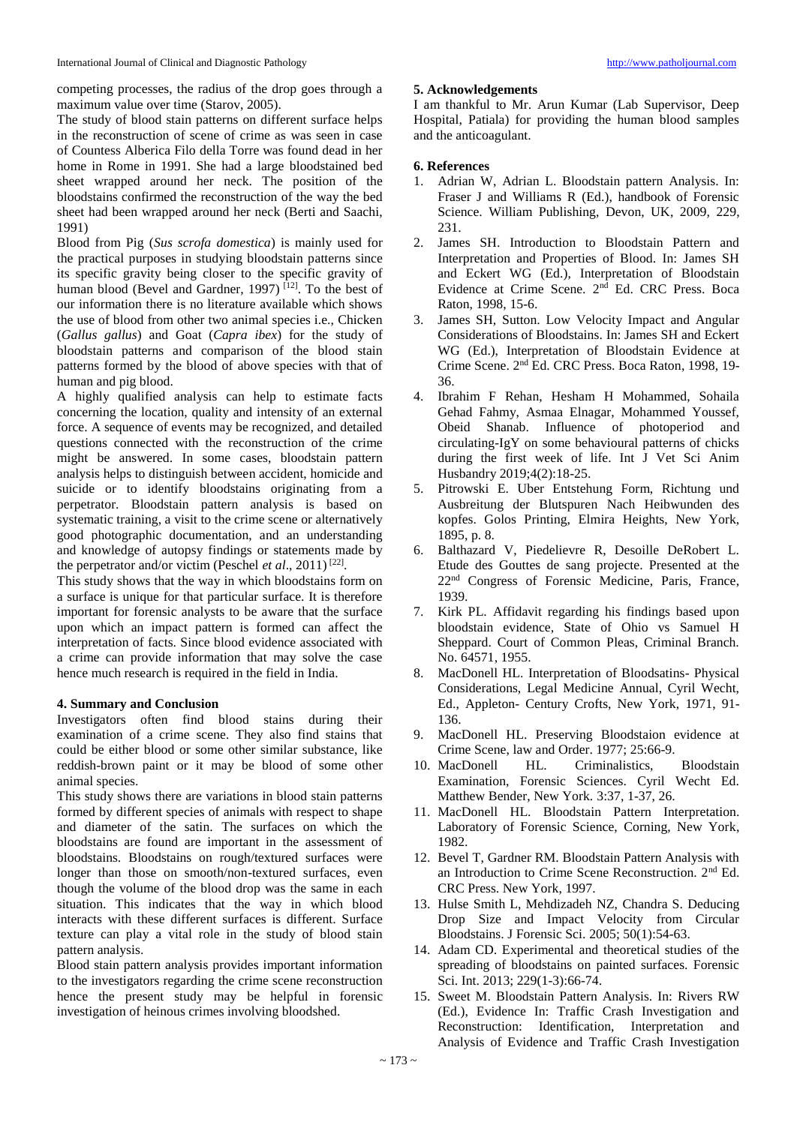competing processes, the radius of the drop goes through a maximum value over time (Starov, 2005).

The study of blood stain patterns on different surface helps in the reconstruction of scene of crime as was seen in case of Countess Alberica Filo della Torre was found dead in her home in Rome in 1991. She had a large bloodstained bed sheet wrapped around her neck. The position of the bloodstains confirmed the reconstruction of the way the bed sheet had been wrapped around her neck (Berti and Saachi, 1991)

Blood from Pig (*Sus scrofa domestica*) is mainly used for the practical purposes in studying bloodstain patterns since its specific gravity being closer to the specific gravity of human blood (Bevel and Gardner, 1997)  $[12]$ . To the best of our information there is no literature available which shows the use of blood from other two animal species i.e., Chicken (*Gallus gallus*) and Goat (*Capra ibex*) for the study of bloodstain patterns and comparison of the blood stain patterns formed by the blood of above species with that of human and pig blood.

A highly qualified analysis can help to estimate facts concerning the location, quality and intensity of an external force. A sequence of events may be recognized, and detailed questions connected with the reconstruction of the crime might be answered. In some cases, bloodstain pattern analysis helps to distinguish between accident, homicide and suicide or to identify bloodstains originating from a perpetrator. Bloodstain pattern analysis is based on systematic training, a visit to the crime scene or alternatively good photographic documentation, and an understanding and knowledge of autopsy findings or statements made by the perpetrator and/or victim (Peschel *et al.*, 2011)<sup>[22]</sup>.

This study shows that the way in which bloodstains form on a surface is unique for that particular surface. It is therefore important for forensic analysts to be aware that the surface upon which an impact pattern is formed can affect the interpretation of facts. Since blood evidence associated with a crime can provide information that may solve the case hence much research is required in the field in India.

## **4. Summary and Conclusion**

Investigators often find blood stains during their examination of a crime scene. They also find stains that could be either blood or some other similar substance, like reddish-brown paint or it may be blood of some other animal species.

This study shows there are variations in blood stain patterns formed by different species of animals with respect to shape and diameter of the satin. The surfaces on which the bloodstains are found are important in the assessment of bloodstains. Bloodstains on rough/textured surfaces were longer than those on smooth/non-textured surfaces, even though the volume of the blood drop was the same in each situation. This indicates that the way in which blood interacts with these different surfaces is different. Surface texture can play a vital role in the study of blood stain pattern analysis.

Blood stain pattern analysis provides important information to the investigators regarding the crime scene reconstruction hence the present study may be helpful in forensic investigation of heinous crimes involving bloodshed.

#### **5. Acknowledgements**

I am thankful to Mr. Arun Kumar (Lab Supervisor, Deep Hospital, Patiala) for providing the human blood samples and the anticoagulant.

# **6. References**

- 1. Adrian W, Adrian L. Bloodstain pattern Analysis. In: Fraser J and Williams R (Ed.), handbook of Forensic Science. William Publishing, Devon, UK, 2009, 229, 231.
- 2. James SH. Introduction to Bloodstain Pattern and Interpretation and Properties of Blood. In: James SH and Eckert WG (Ed.), Interpretation of Bloodstain Evidence at Crime Scene. 2<sup>nd</sup> Ed. CRC Press. Boca Raton, 1998, 15-6.
- 3. James SH, Sutton. Low Velocity Impact and Angular Considerations of Bloodstains. In: James SH and Eckert WG (Ed.), Interpretation of Bloodstain Evidence at Crime Scene. 2nd Ed. CRC Press. Boca Raton, 1998, 19- 36.
- 4. Ibrahim F Rehan, Hesham H Mohammed, Sohaila Gehad Fahmy, Asmaa Elnagar, Mohammed Youssef, Obeid Shanab. Influence of photoperiod and circulating-IgY on some behavioural patterns of chicks during the first week of life. Int J Vet Sci Anim Husbandry 2019;4(2):18-25.
- 5. Pitrowski E. Uber Entstehung Form, Richtung und Ausbreitung der Blutspuren Nach Heibwunden des kopfes. Golos Printing, Elmira Heights, New York, 1895, p. 8.
- 6. Balthazard V, Piedelievre R, Desoille DeRobert L. Etude des Gouttes de sang projecte. Presented at the 22nd Congress of Forensic Medicine, Paris, France, 1939.
- 7. Kirk PL. Affidavit regarding his findings based upon bloodstain evidence, State of Ohio vs Samuel H Sheppard. Court of Common Pleas, Criminal Branch. No. 64571, 1955.
- 8. MacDonell HL. Interpretation of Bloodsatins- Physical Considerations, Legal Medicine Annual, Cyril Wecht, Ed., Appleton- Century Crofts, New York, 1971, 91- 136.
- 9. MacDonell HL. Preserving Bloodstaion evidence at Crime Scene, law and Order. 1977; 25:66-9.
- 10. MacDonell HL. Criminalistics, Bloodstain Examination, Forensic Sciences. Cyril Wecht Ed. Matthew Bender, New York. 3:37, 1-37, 26.
- 11. MacDonell HL. Bloodstain Pattern Interpretation. Laboratory of Forensic Science, Corning, New York, 1982.
- 12. Bevel T, Gardner RM. Bloodstain Pattern Analysis with an Introduction to Crime Scene Reconstruction. 2nd Ed. CRC Press. New York, 1997.
- 13. Hulse Smith L, Mehdizadeh NZ, Chandra S. Deducing Drop Size and Impact Velocity from Circular Bloodstains. J Forensic Sci. 2005; 50(1):54-63.
- 14. Adam CD. Experimental and theoretical studies of the spreading of bloodstains on painted surfaces. Forensic Sci. Int. 2013; 229(1-3):66-74.
- 15. Sweet M. Bloodstain Pattern Analysis. In: Rivers RW (Ed.), Evidence In: Traffic Crash Investigation and Reconstruction: Identification, Interpretation and Analysis of Evidence and Traffic Crash Investigation